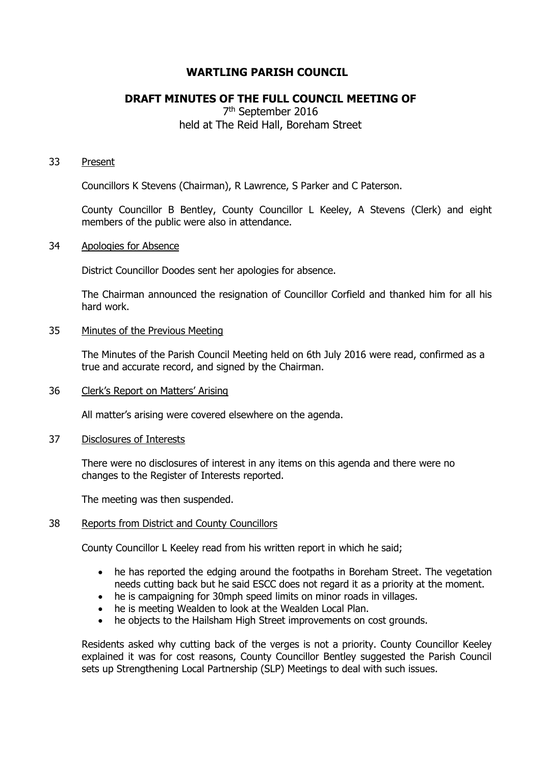## **WARTLING PARISH COUNCIL**

# **DRAFT MINUTES OF THE FULL COUNCIL MEETING OF**

## 7<sup>th</sup> September 2016 held at The Reid Hall, Boreham Street

### 33 Present

Councillors K Stevens (Chairman), R Lawrence, S Parker and C Paterson.

County Councillor B Bentley, County Councillor L Keeley, A Stevens (Clerk) and eight members of the public were also in attendance.

#### 34 Apologies for Absence

District Councillor Doodes sent her apologies for absence.

The Chairman announced the resignation of Councillor Corfield and thanked him for all his hard work.

## 35 Minutes of the Previous Meeting

The Minutes of the Parish Council Meeting held on 6th July 2016 were read, confirmed as a true and accurate record, and signed by the Chairman.

#### 36 Clerk's Report on Matters' Arising

All matter's arising were covered elsewhere on the agenda.

#### 37 Disclosures of Interests

There were no disclosures of interest in any items on this agenda and there were no changes to the Register of Interests reported.

The meeting was then suspended.

## 38 Reports from District and County Councillors

County Councillor L Keeley read from his written report in which he said;

- he has reported the edging around the footpaths in Boreham Street. The vegetation needs cutting back but he said ESCC does not regard it as a priority at the moment.
- he is campaigning for 30mph speed limits on minor roads in villages.
- he is meeting Wealden to look at the Wealden Local Plan.
- he objects to the Hailsham High Street improvements on cost grounds.

Residents asked why cutting back of the verges is not a priority. County Councillor Keeley explained it was for cost reasons, County Councillor Bentley suggested the Parish Council sets up Strengthening Local Partnership (SLP) Meetings to deal with such issues.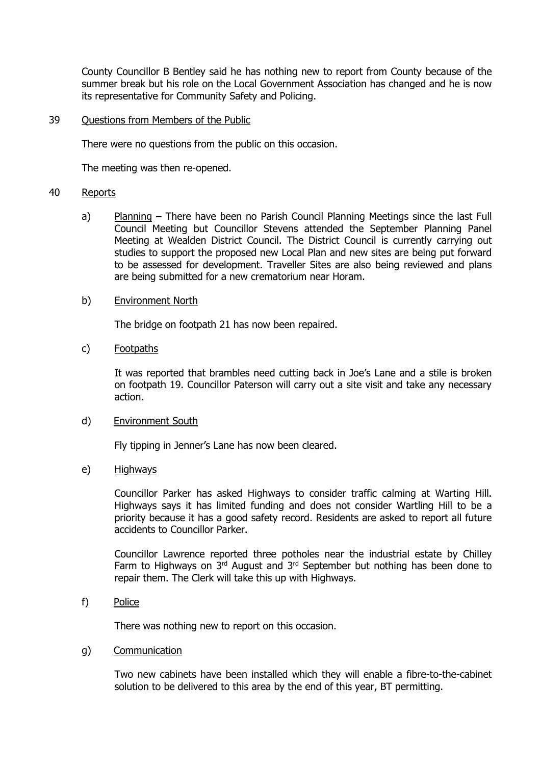County Councillor B Bentley said he has nothing new to report from County because of the summer break but his role on the Local Government Association has changed and he is now its representative for Community Safety and Policing.

#### 39 Questions from Members of the Public

There were no questions from the public on this occasion.

The meeting was then re-opened.

#### 40 Reports

a) Planning – There have been no Parish Council Planning Meetings since the last Full Council Meeting but Councillor Stevens attended the September Planning Panel Meeting at Wealden District Council. The District Council is currently carrying out studies to support the proposed new Local Plan and new sites are being put forward to be assessed for development. Traveller Sites are also being reviewed and plans are being submitted for a new crematorium near Horam.

#### b) Environment North

The bridge on footpath 21 has now been repaired.

## c) Footpaths

It was reported that brambles need cutting back in Joe's Lane and a stile is broken on footpath 19. Councillor Paterson will carry out a site visit and take any necessary action.

#### d) Environment South

Fly tipping in Jenner's Lane has now been cleared.

#### e) Highways

Councillor Parker has asked Highways to consider traffic calming at Warting Hill. Highways says it has limited funding and does not consider Wartling Hill to be a priority because it has a good safety record. Residents are asked to report all future accidents to Councillor Parker.

Councillor Lawrence reported three potholes near the industrial estate by Chilley Farm to Highways on  $3<sup>rd</sup>$  August and  $3<sup>rd</sup>$  September but nothing has been done to repair them. The Clerk will take this up with Highways.

#### f) Police

There was nothing new to report on this occasion.

## g) Communication

Two new cabinets have been installed which they will enable a fibre-to-the-cabinet solution to be delivered to this area by the end of this year, BT permitting.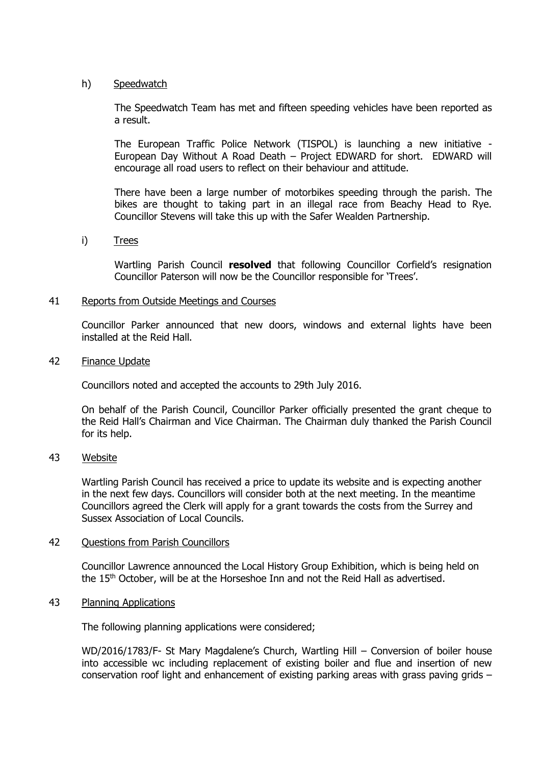## h) Speedwatch

The Speedwatch Team has met and fifteen speeding vehicles have been reported as a result.

The European Traffic Police Network (TISPOL) is launching a new initiative - European Day Without A Road Death – Project EDWARD for short. EDWARD will encourage all road users to reflect on their behaviour and attitude.

There have been a large number of motorbikes speeding through the parish. The bikes are thought to taking part in an illegal race from Beachy Head to Rye. Councillor Stevens will take this up with the Safer Wealden Partnership.

## i) Trees

Wartling Parish Council **resolved** that following Councillor Corfield's resignation Councillor Paterson will now be the Councillor responsible for 'Trees'.

## 41 Reports from Outside Meetings and Courses

Councillor Parker announced that new doors, windows and external lights have been installed at the Reid Hall.

#### 42 Finance Update

Councillors noted and accepted the accounts to 29th July 2016.

On behalf of the Parish Council, Councillor Parker officially presented the grant cheque to the Reid Hall's Chairman and Vice Chairman. The Chairman duly thanked the Parish Council for its help.

## 43 Website

Wartling Parish Council has received a price to update its website and is expecting another in the next few days. Councillors will consider both at the next meeting. In the meantime Councillors agreed the Clerk will apply for a grant towards the costs from the Surrey and Sussex Association of Local Councils.

## 42 Ouestions from Parish Councillors

Councillor Lawrence announced the Local History Group Exhibition, which is being held on the 15<sup>th</sup> October, will be at the Horseshoe Inn and not the Reid Hall as advertised.

## 43 Planning Applications

The following planning applications were considered;

WD/2016/1783/F- St Mary Magdalene's Church, Wartling Hill – Conversion of boiler house into accessible wc including replacement of existing boiler and flue and insertion of new conservation roof light and enhancement of existing parking areas with grass paving grids –